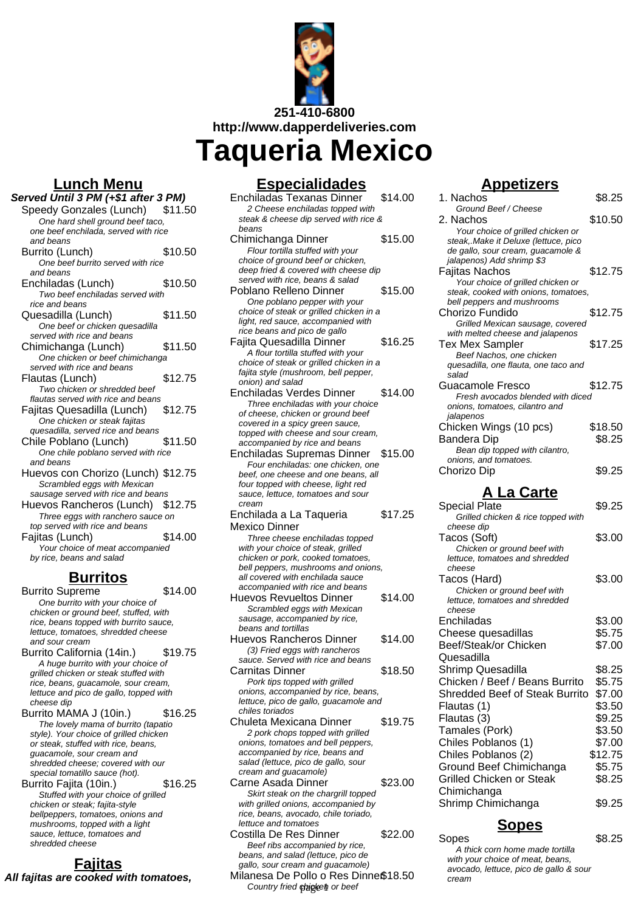

**Lunch Menu**

#### **Served Until 3 PM (+\$1 after 3 PM)**

- Speedy Gonzales (Lunch) \$11.50 One hard shell ground beef taco. one beef enchilada, served with rice and beans Burrito (Lunch) \$10.50 One beef burrito served with rice and beans Enchiladas (Lunch) \$10.50 Two beef enchiladas served with rice and beans Quesadilla (Lunch) \$11.50 One beef or chicken quesadilla served with rice and beans
	- Chimichanga (Lunch) \$11.50 One chicken or beef chimichanga served with rice and beans Flautas (Lunch) \$12.75
	- Two chicken or shredded beef flautas served with rice and beans
	- Fajitas Quesadilla (Lunch) \$12.75 One chicken or steak fajitas quesadilla, served rice and beans
	- Chile Poblano (Lunch) \$11.50 One chile poblano served with rice and beans
	- Huevos con Chorizo (Lunch) \$12.75 Scrambled eggs with Mexican sausage served with rice and beans
	- Huevos Rancheros (Lunch) \$12.75 Three eggs with ranchero sauce on top served with rice and beans
	- Fajitas (Lunch) \$14.00 Your choice of meat accompanied by rice, beans and salad

#### **Burritos**

- Burrito Supreme \$14.00 One burrito with your choice of chicken or ground beef, stuffed, with rice, beans topped with burrito sauce, lettuce, tomatoes, shredded cheese and sour cream
- Burrito California (14in.) \$19.75 A huge burrito with your choice of grilled chicken or steak stuffed with rice, beans, guacamole, sour cream, lettuce and pico de gallo, topped with cheese dip
- Burrito MAMA J (10in.) \$16.25 The lovely mama of burrito (tapatio style). Your choice of grilled chicken or steak, stuffed with rice, beans, guacamole, sour cream and shredded cheese; covered with our special tomatillo sauce (hot). Burrito Fajita (10in.) \$16.25
- Stuffed with your choice of grilled chicken or steak; fajita-style bellpeppers, tomatoes, onions and mushrooms, topped with a light sauce, lettuce, tomatoes and shredded cheese

#### **Fajitas All fajitas are cooked with tomatoes,**

#### **Especialidades**

| <u>Especialidades</u>                                                         |         |
|-------------------------------------------------------------------------------|---------|
| Enchiladas Texanas Dinner                                                     | \$14.00 |
| 2 Cheese enchiladas topped with                                               |         |
| steak & cheese dip served with rice &<br>beans                                |         |
| Chimichanga Dinner                                                            | \$15.00 |
| Flour tortilla stuffed with your                                              |         |
| choice of ground beef or chicken,                                             |         |
| deep fried & covered with cheese dip                                          |         |
| served with rice, beans & salad<br>Poblano Relleno Dinner                     | \$15.00 |
| One poblano pepper with your                                                  |         |
| choice of steak or grilled chicken in a                                       |         |
| light, red sauce, accompanied with                                            |         |
| rice beans and pico de gallo                                                  |         |
| Fajita Quesadilla Dinner                                                      | \$16.25 |
| A flour tortilla stuffed with your<br>choice of steak or grilled chicken in a |         |
| fajita style (mushroom, bell pepper,                                          |         |
| onion) and salad                                                              |         |
| <b>Enchiladas Verdes Dinner</b>                                               | \$14.00 |
| Three enchiladas with your choice                                             |         |
| of cheese, chicken or ground beef                                             |         |
| covered in a spicy green sauce,<br>topped with cheese and sour cream.         |         |
| accompanied by rice and beans                                                 |         |
| Enchiladas Supremas Dinner                                                    | \$15.00 |
| Four enchiladas: one chicken, one                                             |         |
| beef, one cheese and one beans, all                                           |         |
| four topped with cheese, light red<br>sauce, lettuce, tomatoes and sour       |         |
| cream                                                                         |         |
| Enchilada a La Taqueria                                                       | \$17.25 |
| Mexico Dinner                                                                 |         |
| Three cheese enchiladas topped                                                |         |
| with your choice of steak, grilled                                            |         |
| chicken or pork, cooked tomatoes,<br>bell peppers, mushrooms and onions,      |         |
| all covered with enchilada sauce                                              |         |
| accompanied with rice and beans                                               |         |
| <b>Huevos Revueltos Dinner</b>                                                | \$14.00 |
| Scrambled eggs with Mexican                                                   |         |
| sausage, accompanied by rice,<br>beans and tortillas                          |         |
| Huevos Rancheros Dinner                                                       | \$14.00 |
| (3) Fried eggs with rancheros                                                 |         |
| sauce. Served with rice and beans                                             |         |
| Carnitas Dinner                                                               | \$18.50 |
| Pork tips topped with grilled                                                 |         |
| onions, accompanied by rice, beans,<br>lettuce, pico de gallo, guacamole and  |         |
| chiles toriados                                                               |         |
| Chuleta Mexicana Dinner                                                       | \$19.75 |
| 2 pork chops topped with grilled                                              |         |
| onions, tomatoes and bell peppers,                                            |         |
| accompanied by rice, beans and                                                |         |
| salad (lettuce, pico de gallo, sour<br>cream and guacamole)                   |         |
| Carne Asada Dinner                                                            | \$23.00 |
| Skirt steak on the chargrill topped                                           |         |
| with grilled onions, accompanied by                                           |         |

lettuce and tomatoes Costilla De Res Dinner \$22.00 Beef ribs accompanied by rice, beans, and salad (lettuce, pico de gallo, sour cream and guacamole) Milanesa De Pollo o Res Dinne\$18.50

rice, beans, avocado, chile toriado,

## Country fried phigkel or beef

# **Appetizers**

| 1. Nachos                                                                 | \$8.25  |
|---------------------------------------------------------------------------|---------|
| Ground Beef / Cheese                                                      |         |
| 2. Nachos                                                                 | \$10.50 |
| Your choice of grilled chicken or<br>steak,.Make it Deluxe (lettuce, pico |         |
| de gallo, sour cream, guacamole &                                         |         |
| jalapenos) Add shrimp \$3                                                 |         |
| Faiitas Nachos                                                            | \$12.75 |
| Your choice of grilled chicken or                                         |         |
| steak, cooked with onions, tomatoes,                                      |         |
| bell peppers and mushrooms                                                |         |
| Chorizo Fundido                                                           | \$12.75 |
| Grilled Mexican sausage, covered                                          |         |
| with melted cheese and jalapenos                                          |         |
| <b>Tex Mex Sampler</b>                                                    | \$17.25 |
| Beef Nachos, one chicken                                                  |         |
| quesadilla, one flauta, one taco and<br>salad                             |         |
| Guacamole Fresco                                                          | \$12.75 |
| Fresh avocados blended with diced                                         |         |
| onions, tomatoes, cilantro and                                            |         |
| jalapenos                                                                 |         |
| Chicken Wings (10 pcs)                                                    | \$18.50 |
| Bandera Dip                                                               | \$8.25  |
| Bean dip topped with cilantro,                                            |         |
| onions, and tomatoes.                                                     |         |
| Chorizo Dip                                                               | \$9.25  |
|                                                                           |         |
| A La Carte                                                                |         |
| <b>Special Plate</b>                                                      |         |
|                                                                           | \$9.25  |
| Grilled chicken & rice topped with                                        |         |
| cheese dip                                                                |         |
| Tacos (Soft)                                                              | \$3.00  |
| Chicken or ground beef with                                               |         |
| lettuce, tomatoes and shredded<br>cheese                                  |         |
|                                                                           |         |
| Tacos (Hard)<br>Chicken or ground beef with                               | \$3.00  |
| lettuce, tomatoes and shredded                                            |         |
| cheese                                                                    |         |
| Enchiladas                                                                | \$3.00  |
| Cheese quesadillas                                                        | \$5.75  |
| Beef/Steak/or Chicken                                                     | \$7.00  |
| Quesadilla                                                                |         |
|                                                                           |         |
| Shrimp Quesadilla                                                         | \$8.25  |
| Chicken / Beef / Beans Burrito                                            | \$5.75  |
| Shredded Beef of Steak Burrito                                            | \$7.00  |
| Flautas (1)                                                               | \$3.50  |
| Flautas (3)                                                               | \$9.25  |
| Tamales (Pork)                                                            | \$3.50  |
| Chiles Poblanos (1)                                                       | \$7.00  |
| Chiles Poblanos (2)                                                       | \$12.75 |
|                                                                           | \$5.75  |
| Ground Beef Chimichanga<br><b>Grilled Chicken or Steak</b>                |         |
|                                                                           | \$8.25  |
| Chimichanga<br>Shrimp Chimichanga                                         | \$9.25  |

# **Sopes**

Sopes 58.25

A thick corn home made tortilla with your choice of meat, beans, avocado, lettuce, pico de gallo & sour cream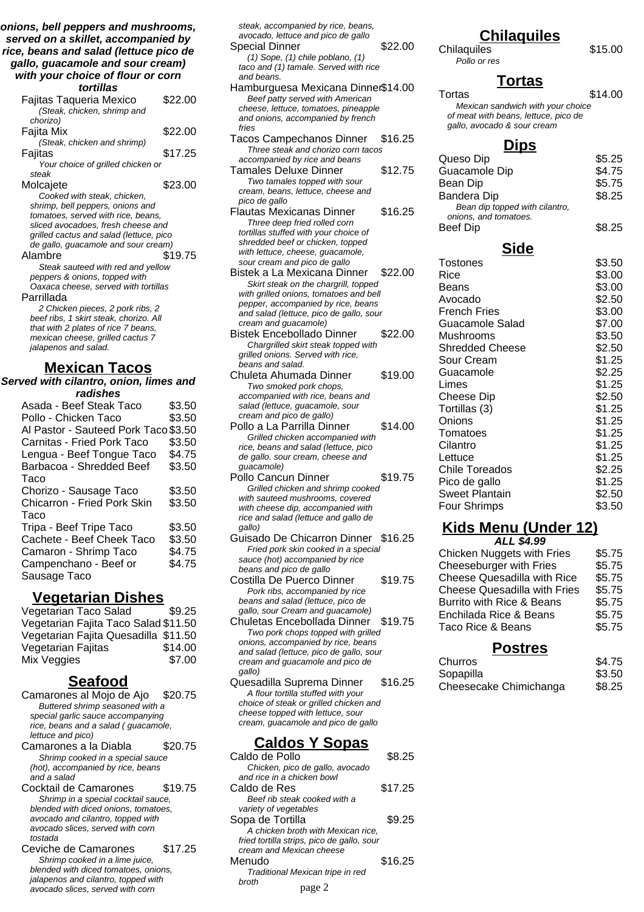**onions, bell peppers and mushrooms, served on a skillet, accompanied by rice, beans and salad (lettuce pico de gallo, guacamole and sour cream) with your choice of flour or corn**

| with your choice or hour or com         |         |
|-----------------------------------------|---------|
| tortillas                               |         |
| Fajitas Taqueria Mexico                 | \$22.00 |
| (Steak, chicken, shrimp and             |         |
| chorizo)                                |         |
| Fajita Mix                              | \$22.00 |
| (Steak, chicken and shrimp)             |         |
| Fajitas                                 | \$17.25 |
| Your choice of grilled chicken or       |         |
| steak                                   |         |
| Molcajete                               | \$23.00 |
| Cooked with steak, chicken,             |         |
| shrimp, bell peppers, onions and        |         |
| tomatoes, served with rice, beans,      |         |
| sliced avocadoes, fresh cheese and      |         |
| grilled cactus and salad (lettuce, pico |         |
| de gallo, guacamole and sour cream)     |         |
| Alambre                                 | \$19.75 |
| Steak sauteed with red and yellow       |         |
| peppers & onions, topped with           |         |
| Oaxaca cheese, served with tortillas    |         |
| Parrillada                              |         |
| 2 Chicken pieces, 2 pork ribs, 2        |         |
| beef ribs, 1 skirt steak, chorizo. All  |         |
| that with 2 plates of rice 7 beans,     |         |
| mexican cheese, grilled cactus 7        |         |
| jalapenos and salad.                    |         |

#### **Mexican Tacos**

**Served with cilantro, onion, limes and radishes**

| Asada - Beef Steak Taco            | \$3.50 |
|------------------------------------|--------|
| Pollo - Chicken Taco               | \$3.50 |
| Al Pastor - Sauteed Pork Taco      | \$3.50 |
| Carnitas - Fried Pork Taco         | \$3.50 |
| Lengua - Beef Tongue Taco          | \$4.75 |
| Barbacoa - Shredded Beef           | \$3.50 |
| Taco                               |        |
| Chorizo - Sausage Taco             | \$3.50 |
| <b>Chicarron - Fried Pork Skin</b> | \$3.50 |
| Taco                               |        |
| Tripa - Beef Tripe Taco            | \$3.50 |
| Cachete - Beef Cheek Taco          | \$3.50 |
| Camaron - Shrimp Taco              | \$4.75 |
| Campenchano - Beef or              | \$4.75 |
| Sausage Taco                       |        |
|                                    |        |

#### **Vegetarian Dishes**

| Vegetarian Taco Salad                | \$9.25  |
|--------------------------------------|---------|
| Vegetarian Fajita Taco Salad \$11.50 |         |
| Vegetarian Fajita Quesadilla \$11.50 |         |
| Vegetarian Fajitas                   | \$14.00 |
| Mix Veggies                          | \$7.00  |

#### **Seafood**

Camarones al Mojo de Ajo \$20.75 Buttered shrimp seasoned with a special garlic sauce accompanying rice, beans and a salad ( guacamole, lettuce and pico)

- Camarones a la Diabla \$20.75 Shrimp cooked in a special sauce (hot), accompanied by rice, beans and a salad
- Cocktail de Camarones \$19.75 Shrimp in a special cocktail sauce, blended with diced onions, tomatoes, avocado and cilantro, topped with avocado slices, served with corn tostada
- Ceviche de Camarones \$17.25 Shrimp cooked in a lime juice, blended with diced tomatoes, onions, jalapenos and cilantro, topped with avocado slices, served with corn

| steak, accompanied by rice, beans,                                      |         |
|-------------------------------------------------------------------------|---------|
| avocado, lettuce and pico de gallo                                      |         |
| Special Dinner                                                          | \$22.00 |
| $(1)$ Sope, $(1)$ chile poblano, $(1)$                                  |         |
| taco and (1) tamale. Served with rice                                   |         |
| and beans.                                                              |         |
| Hamburguesa Mexicana Dinner\$14.00                                      |         |
|                                                                         |         |
| Beef patty served with American<br>cheese, lettuce, tomatoes, pineapple |         |
| and onions, accompanied by french                                       |         |
| fries                                                                   |         |
|                                                                         |         |
| Tacos Campechanos Dinner                                                | \$16.25 |
| Three steak and chorizo corn tacos                                      |         |
| accompanied by rice and beans                                           |         |
| Tamales Deluxe Dinner                                                   | \$12.75 |
| Two tamales topped with sour                                            |         |
| cream, beans, lettuce, cheese and                                       |         |
| pico de gallo                                                           |         |
| Flautas Mexicanas Dinner                                                | \$16.25 |
| Three deep fried rolled corn                                            |         |
| tortillas stuffed with your choice of                                   |         |
| shredded beef or chicken, topped                                        |         |
| with lettuce, cheese, guacamole,                                        |         |
| sour cream and pico de gallo                                            |         |
| Bistek a La Mexicana Dinner                                             | \$22.00 |
| Skirt steak on the chargrill, topped                                    |         |
| with grilled onions, tomatoes and bell                                  |         |
| pepper, accompanied by rice, beans                                      |         |
| and salad (lettuce, pico de gallo, sour                                 |         |
| cream and guacamole)                                                    |         |
| Bistek Encebollado Dinner                                               | \$22.00 |
| Chargrilled skirt steak topped with                                     |         |
| grilled onions. Served with rice,                                       |         |
| beans and salad.                                                        |         |
| Chuleta Ahumada Dinner                                                  | \$19.00 |
| Two smoked pork chops,                                                  |         |
| accompanied with rice, beans and                                        |         |
| salad (lettuce, guacamole, sour                                         |         |
| cream and pico de gallo)                                                |         |
| Pollo a La Parrilla Dinner                                              | \$14.00 |
| Grilled chicken accompanied with                                        |         |
| rice, beans and salad (lettuce, pico                                    |         |
| de gallo. sour cream, cheese and                                        |         |
| guacamole)                                                              |         |

- Pollo Cancun Dinner \$19.75 Grilled chicken and shrimp cooked with sauteed mushrooms, covered with cheese dip, accompanied with rice and salad (lettuce and gallo de gallo)
- Guisado De Chicarron Dinner \$16.25 Fried pork skin cooked in a special sauce (hot) accompanied by rice beans and pico de gallo
- Costilla De Puerco Dinner \$19.75 Pork ribs, accompanied by rice beans and salad (lettuce, pico de gallo, sour Cream and guacamole)
- Chuletas Encebollada Dinner \$19.75 Two pork chops topped with grilled onions, accompanied by rice, beans and salad (lettuce, pico de gallo, sour cream and guacamole and pico de gallo)
- Quesadilla Suprema Dinner \$16.25 A flour tortilla stuffed with your choice of steak or grilled chicken and cheese topped with lettuce, sour cream, guacamole and pico de gallo

## **Caldos Y Sopas**

| Caldo de Pollo                             | \$8.25  |
|--------------------------------------------|---------|
| Chicken, pico de gallo, avocado            |         |
| and rice in a chicken bowl                 |         |
| Caldo de Res                               | \$17.25 |
| Beef rib steak cooked with a               |         |
| variety of vegetables                      |         |
| Sopa de Tortilla                           | \$9.25  |
| A chicken broth with Mexican rice.         |         |
| fried tortilla strips, pico de gallo, sour |         |
| cream and Mexican cheese                   |         |
| Menudo                                     | \$16.25 |
| Traditional Mexican tripe in red           |         |
| hroth<br>page 2                            |         |

# **Chilaquiles**

Chilaquiles \$15.00 Pollo or res

# **Tortas**

Tortas \$14.00 Mexican sandwich with your choice of meat with beans, lettuce, pico de gallo, avocado & sour cream

#### **Dips**

| Queso Dip                                               | \$5.25 |
|---------------------------------------------------------|--------|
| Guacamole Dip                                           | \$4.75 |
| Bean Dip                                                | \$5.75 |
| Bandera Dip                                             | \$8.25 |
| Bean dip topped with cilantro,<br>onions, and tomatoes. |        |
| Beef Dip                                                | \$8.25 |
| <b>Side</b>                                             |        |
| <b>Tostones</b>                                         | \$3.50 |
| Rice                                                    | \$3.00 |
| Beans                                                   | \$3.00 |
| Avocado                                                 | \$2.50 |

| <b>RICE</b>            | აა.∪∪  |
|------------------------|--------|
| Beans                  | \$3.00 |
| Avocado                | \$2.50 |
| French Fries           | \$3.00 |
| Guacamole Salad        | \$7.00 |
| Mushrooms              | \$3.50 |
| <b>Shredded Cheese</b> | \$2.50 |
| Sour Cream             | \$1.25 |
| Guacamole              | \$2.25 |
| Limes                  | \$1.25 |
| <b>Cheese Dip</b>      | \$2.50 |
| Tortillas (3)          | \$1.25 |
| Onions                 | \$1.25 |
| Tomatoes               | \$1.25 |
| Cilantro               | \$1.25 |
| Lettuce                | \$1.25 |
| <b>Chile Toreados</b>  | \$2.25 |
| Pico de gallo          | \$1.25 |
| Sweet Plantain         | \$2.50 |
| Four Shrimps           | \$3.50 |

# **Kids Menu (Under 12)**

| ALL \$4.99                         |        |
|------------------------------------|--------|
| <b>Chicken Nuggets with Fries</b>  | \$5.75 |
| Cheeseburger with Fries            | \$5.75 |
| <b>Cheese Quesadilla with Rice</b> | \$5.75 |
| Cheese Quesadilla with Fries       | \$5.75 |
| Burrito with Rice & Beans          | \$5.75 |
| Enchilada Rice & Beans             | \$5.75 |
| Taco Rice & Beans                  | \$5.75 |
|                                    |        |

# **Postres**

| Churros                | \$4.75 |
|------------------------|--------|
| Sopapilla              | \$3.50 |
| Cheesecake Chimichanga | \$8.25 |